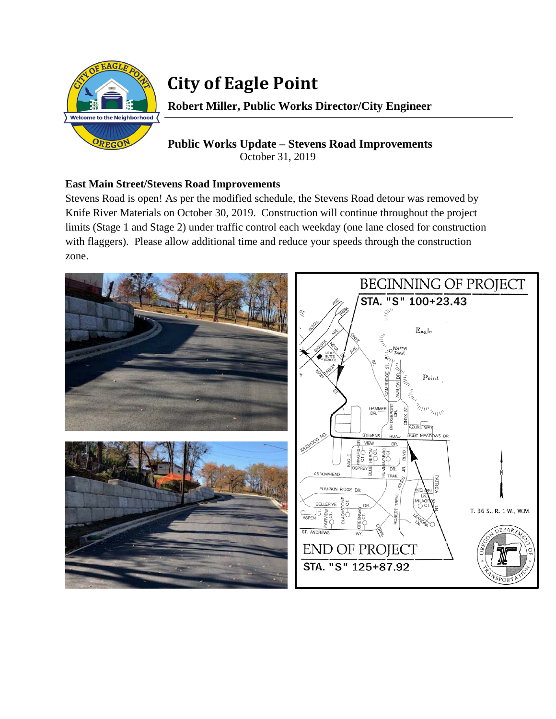

# **City of Eagle Point**

**Robert Miller, Public Works Director/City Engineer** 

### **Public Works Update – Stevens Road Improvements**  October 31, 2019

## **East Main Street/Stevens Road Improvements**

Stevens Road is open! As per the modified schedule, the Stevens Road detour was removed by Knife River Materials on October 30, 2019. Construction will continue throughout the project limits (Stage 1 and Stage 2) under traffic control each weekday (one lane closed for construction with flaggers). Please allow additional time and reduce your speeds through the construction zone.

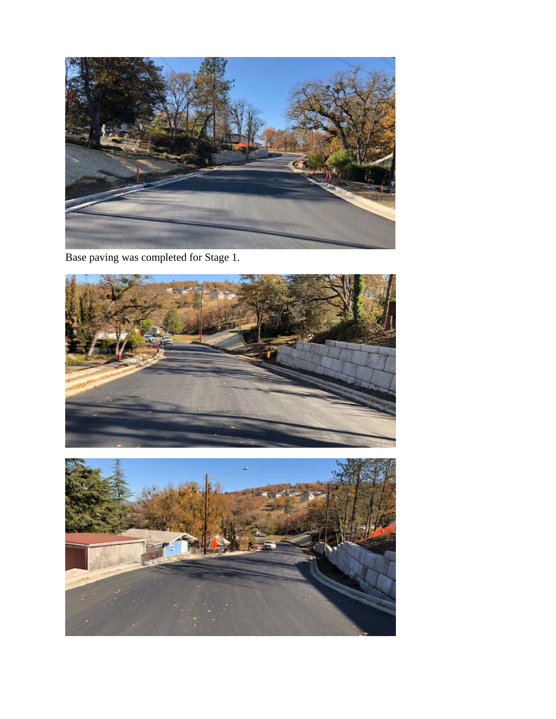

Base paving was completed for Stage 1.



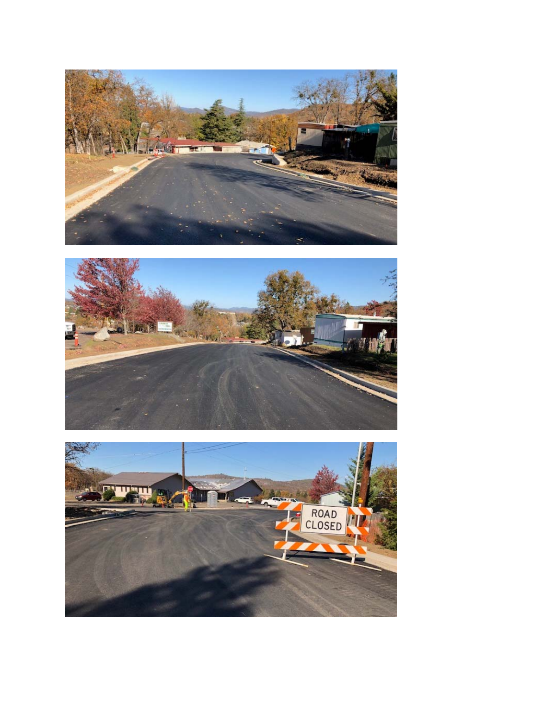



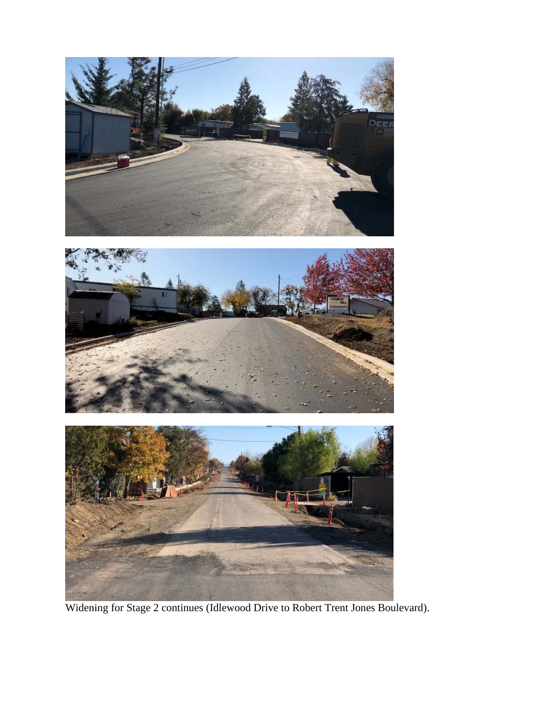

Widening for Stage 2 continues (Idlewood Drive to Robert Trent Jones Boulevard).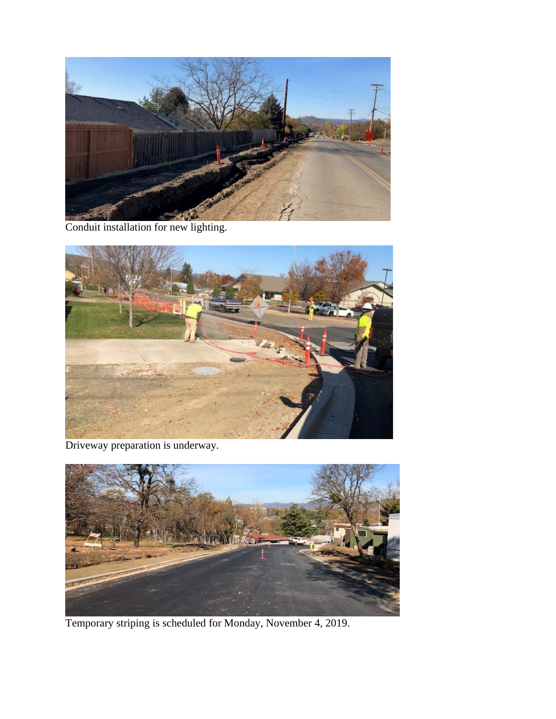

Conduit installation for new lighting.



Driveway preparation is underway.



Temporary striping is scheduled for Monday, November 4, 2019.